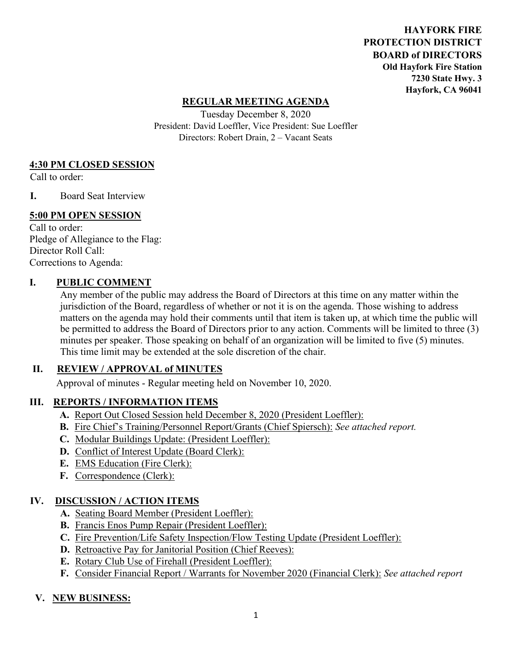**HAYFORK FIRE PROTECTION DISTRICT BOARD of DIRECTORS Old Hayfork Fire Station 7230 State Hwy. 3 Hayfork, CA 96041** 

### **REGULAR MEETING AGENDA**

Tuesday December 8, 2020 President: David Loeffler, Vice President: Sue Loeffler Directors: Robert Drain, 2 – Vacant Seats

#### **4:30 PM CLOSED SESSION**

Call to order:

**I.** Board Seat Interview

### **5:00 PM OPEN SESSION**

Call to order: Pledge of Allegiance to the Flag: Director Roll Call: Corrections to Agenda:

### **I. PUBLIC COMMENT**

Any member of the public may address the Board of Directors at this time on any matter within the jurisdiction of the Board, regardless of whether or not it is on the agenda. Those wishing to address matters on the agenda may hold their comments until that item is taken up, at which time the public will be permitted to address the Board of Directors prior to any action. Comments will be limited to three (3) minutes per speaker. Those speaking on behalf of an organization will be limited to five (5) minutes. This time limit may be extended at the sole discretion of the chair.

### **II. REVIEW / APPROVAL of MINUTES**

Approval of minutes - Regular meeting held on November 10, 2020.

### **III. REPORTS / INFORMATION ITEMS**

- **A.** Report Out Closed Session held December 8, 2020 (President Loeffler):
- **B.** Fire Chief's Training/Personnel Report/Grants (Chief Spiersch): *See attached report.*
- **C.** Modular Buildings Update: (President Loeffler):
- **D.** Conflict of Interest Update (Board Clerk):
- **E.** EMS Education (Fire Clerk):
- **F.** Correspondence (Clerk):

## **IV. DISCUSSION / ACTION ITEMS**

- **A.** Seating Board Member (President Loeffler):
- **B.** Francis Enos Pump Repair (President Loeffler):
- **C.** Fire Prevention/Life Safety Inspection/Flow Testing Update (President Loeffler):
- **D.** Retroactive Pay for Janitorial Position (Chief Reeves):
- **E.** Rotary Club Use of Firehall (President Loeffler):
- **F.** Consider Financial Report / Warrants for November 2020 (Financial Clerk): *See attached report*

### **V. NEW BUSINESS:**